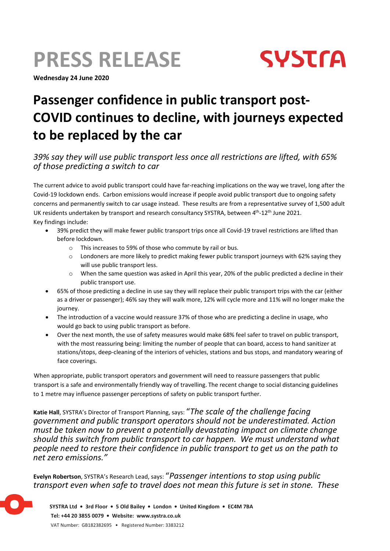# **PRESS RELEASE**

**Wednesday 24 June 2020**



## **Passenger confidence in public transport post-COVID continues to decline, with journeys expected to be replaced by the car**

### *39% say they will use public transport less once all restrictions are lifted, with 65% of those predicting a switch to car*

The current advice to avoid public transport could have far-reaching implications on the way we travel, long after the Covid-19 lockdown ends. Carbon emissions would increase if people avoid public transport due to ongoing safety concerns and permanently switch to car usage instead. These results are from a representative survey of 1,500 adult UK residents undertaken by transport and research consultancy SYSTRA, between 4<sup>th</sup>-12<sup>th</sup> June 2021. Key findings include:

- 39% predict they will make fewer public transport trips once all Covid-19 travel restrictions are lifted than before lockdown.
	- o This increases to 59% of those who commute by rail or bus.
	- $\circ$  Londoners are more likely to predict making fewer public transport journeys with 62% saying they will use public transport less.
	- o When the same question was asked in April this year, 20% of the public predicted a decline in their public transport use.
- 65% of those predicting a decline in use say they will replace their public transport trips with the car (either as a driver or passenger); 46% say they will walk more, 12% will cycle more and 11% will no longer make the journey.
- The introduction of a vaccine would reassure 37% of those who are predicting a decline in usage, who would go back to using public transport as before.
- Over the next month, the use of safety measures would make 68% feel safer to travel on public transport, with the most reassuring being: limiting the number of people that can board, access to hand sanitizer at stations/stops, deep-cleaning of the interiors of vehicles, stations and bus stops, and mandatory wearing of face coverings.

When appropriate, public transport operators and government will need to reassure passengers that public transport is a safe and environmentally friendly way of travelling. The recent change to social distancing guidelines to 1 metre may influence passenger perceptions of safety on public transport further.

**Katie Hall**, SYSTRA's Director of Transport Planning, says: "*The scale of the challenge facing government and public transport operators should not be underestimated. Action must be taken now to prevent a potentially devastating impact on climate change should this switch from public transport to car happen. We must understand what people need to restore their confidence in public transport to get us on the path to net zero emissions."*

**Evelyn Robertson**, SYSTRA's Research Lead, says: "*Passenger intentions to stop using public transport even when safe to travel does not mean this future is set in stone. These*